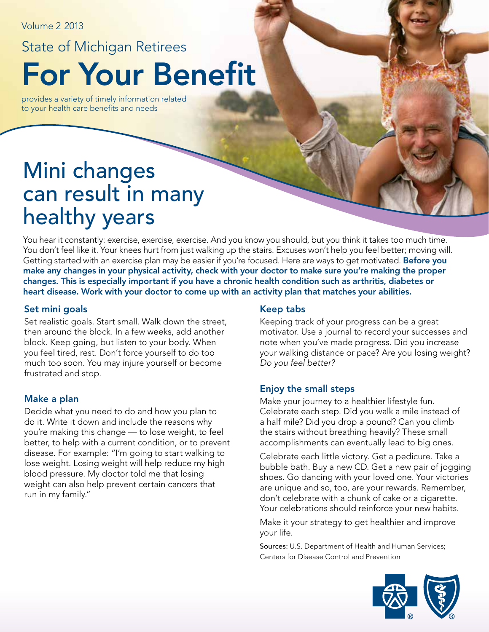Volume 2 2013

### State of Michigan Retirees

For Your Benefit

provides a variety of timely information related to your health care benefits and needs

# Mini changes can result in many healthy years

You hear it constantly: exercise, exercise, exercise. And you know you should, but you think it takes too much time. You don't feel like it. Your knees hurt from just walking up the stairs. Excuses won't help you feel better; moving will. Getting started with an exercise plan may be easier if you're focused. Here are ways to get motivated. Before you make any changes in your physical activity, check with your doctor to make sure you're making the proper changes. This is especially important if you have a chronic health condition such as arthritis, diabetes or heart disease. Work with your doctor to come up with an activity plan that matches your abilities.

#### Set mini goals

Set realistic goals. Start small. Walk down the street, then around the block. In a few weeks, add another block. Keep going, but listen to your body. When you feel tired, rest. Don't force yourself to do too much too soon. You may injure yourself or become frustrated and stop.

#### Make a plan

Decide what you need to do and how you plan to do it. Write it down and include the reasons why you're making this change — to lose weight, to feel better, to help with a current condition, or to prevent disease. For example: "I'm going to start walking to lose weight. Losing weight will help reduce my high blood pressure. My doctor told me that losing weight can also help prevent certain cancers that run in my family."

#### Keep tabs

Keeping track of your progress can be a great motivator. Use a journal to record your successes and note when you've made progress. Did you increase your walking distance or pace? Are you losing weight? *Do you feel better?*

#### Enjoy the small steps

Make your journey to a healthier lifestyle fun. Celebrate each step. Did you walk a mile instead of a half mile? Did you drop a pound? Can you climb the stairs without breathing heavily? These small accomplishments can eventually lead to big ones.

Celebrate each little victory. Get a pedicure. Take a bubble bath. Buy a new CD. Get a new pair of jogging shoes. Go dancing with your loved one. Your victories are unique and so, too, are your rewards. Remember, don't celebrate with a chunk of cake or a cigarette. Your celebrations should reinforce your new habits.

Make it your strategy to get healthier and improve your life.

Sources: U.S. Department of Health and Human Services; Centers for Disease Control and Prevention

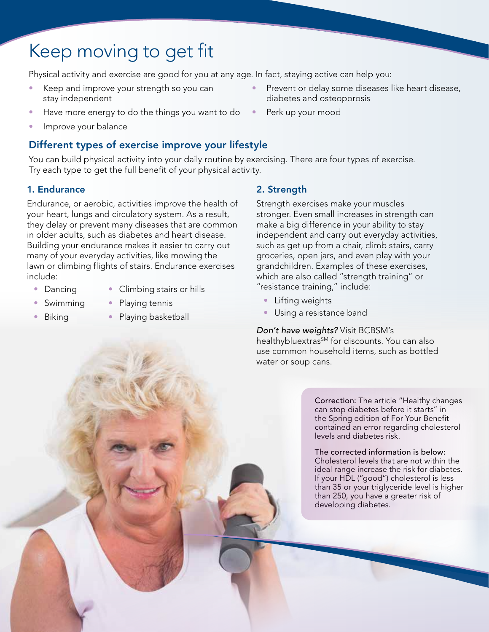## Keep moving to get fit

Physical activity and exercise are good for you at any age. In fact, staying active can help you:

- Keep and improve your strength so you can stay independent
- Have more energy to do the things you want to do  $\bullet$
- Improve your balance

#### Different types of exercise improve your lifestyle

You can build physical activity into your daily routine by exercising. There are four types of exercise. Try each type to get the full benefit of your physical activity.

#### 1. Endurance

Endurance, or aerobic, activities improve the health of your heart, lungs and circulatory system. As a result, they delay or prevent many diseases that are common in older adults, such as diabetes and heart disease. Building your endurance makes it easier to carry out many of your everyday activities, like mowing the lawn or climbing flights of stairs. Endurance exercises include:

- Dancing
- Climbing stairs or hills
- Swimming • Playing tennis
- Biking
- Playing basketball

#### 2. Strength

Strength exercises make your muscles stronger. Even small increases in strength can make a big difference in your ability to stay independent and carry out everyday activities, such as get up from a chair, climb stairs, carry groceries, open jars, and even play with your grandchildren. Examples of these exercises, which are also called "strength training" or "resistance training," include:

- Lifting weights
- Using a resistance band

*Don't have weights?* Visit BCBSM's

healthybluextras<sup>SM</sup> for discounts. You can also use common household items, such as bottled water or soup cans.

> Correction: The article "Healthy changes can stop diabetes before it starts" in the Spring edition of For Your Benefit contained an error regarding cholesterol levels and diabetes risk.

> The corrected information is below: Cholesterol levels that are not within the ideal range increase the risk for diabetes. If your HDL ("good") cholesterol is less than 35 or your triglyceride level is higher than 250, you have a greater risk of developing diabetes.

- Prevent or delay some diseases like heart disease, diabetes and osteoporosis
- Perk up your mood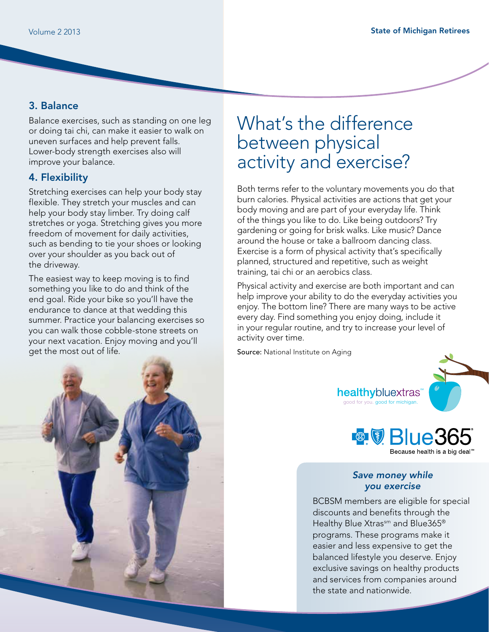#### 3. Balance

Balance exercises, such as standing on one leg or doing tai chi, can make it easier to walk on uneven surfaces and help prevent falls. Lower-body strength exercises also will improve your balance.

#### 4. Flexibility

Stretching exercises can help your body stay flexible. They stretch your muscles and can help your body stay limber. Try doing calf stretches or yoga. Stretching gives you more freedom of movement for daily activities, such as bending to tie your shoes or looking over your shoulder as you back out of the driveway.

The easiest way to keep moving is to find something you like to do and think of the end goal. Ride your bike so you'll have the endurance to dance at that wedding this summer. Practice your balancing exercises so you can walk those cobble-stone streets on your next vacation. Enjoy moving and you'll get the most out of life.



Both terms refer to the voluntary movements you do that burn calories. Physical activities are actions that get your body moving and are part of your everyday life. Think of the things you like to do. Like being outdoors? Try gardening or going for brisk walks. Like music? Dance around the house or take a ballroom dancing class. Exercise is a form of physical activity that's specifically planned, structured and repetitive, such as weight training, tai chi or an aerobics class.

Physical activity and exercise are both important and can help improve your ability to do the everyday activities you enjoy. The bottom line? There are many ways to be active every day. Find something you enjoy doing, include it in your regular routine, and try to increase your level of activity over time.

Source: National Institute on Aging



healthybluextras<sup>®</sup> lood for you. good for michigan



#### *Save money while you exercise*

BCBSM members are eligible for special discounts and benefits through the Healthy Blue Xtrassm and Blue365<sup>®</sup> programs. These programs make it easier and less expensive to get the balanced lifestyle you deserve. Enjoy exclusive savings on healthy products and services from companies around the state and nationwide.